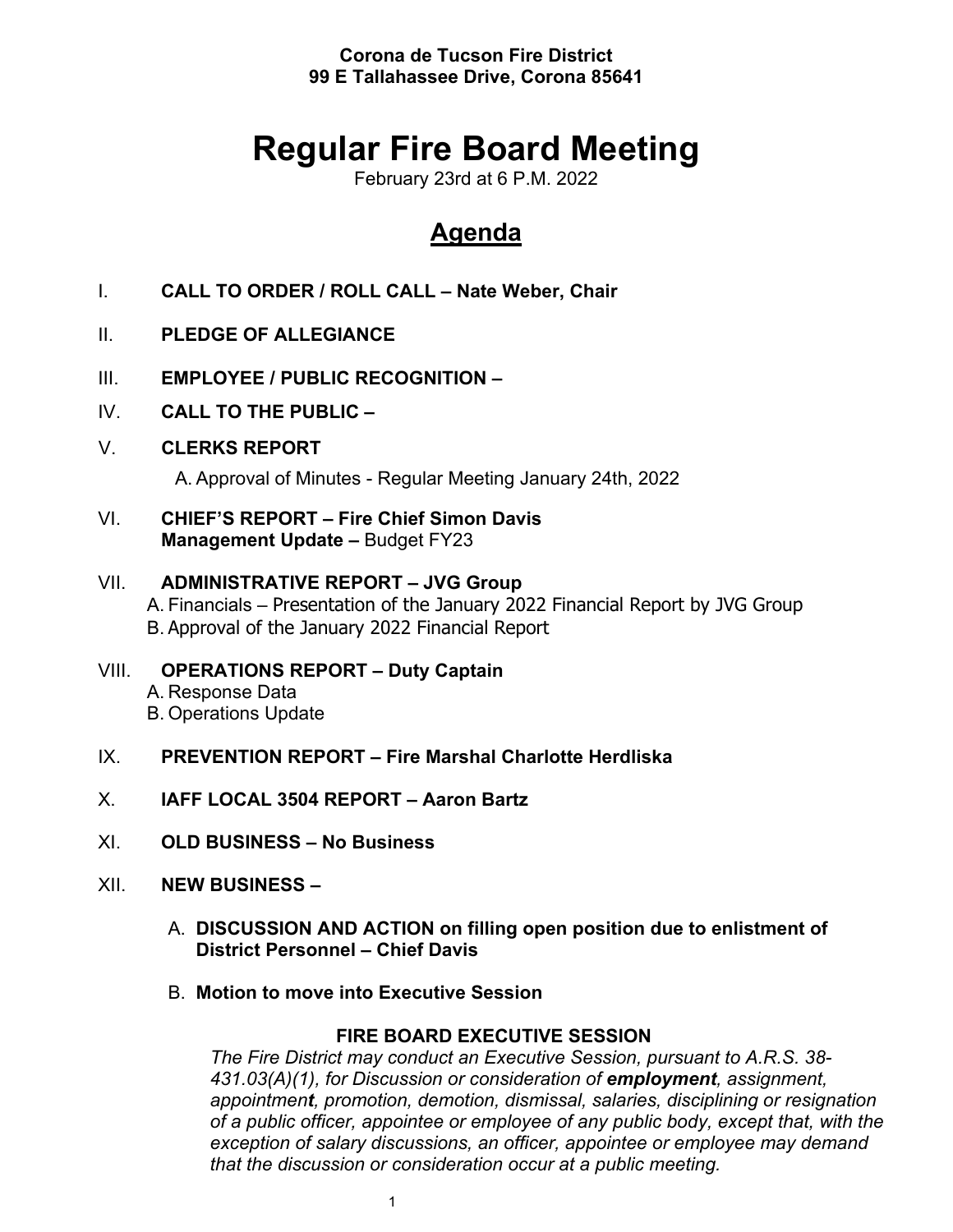**Corona de Tucson Fire District 99 E Tallahassee Drive, Corona 85641**

# **Regular Fire Board Meeting**

February 23rd at 6 P.M. 2022

# **Agenda**

- I. **CALL TO ORDER / ROLL CALL – Nate Weber, Chair**
- II. **PLEDGE OF ALLEGIANCE**
- III. **EMPLOYEE / PUBLIC RECOGNITION –**
- IV. **CALL TO THE PUBLIC –**
- V. **CLERKS REPORT**

A. Approval of Minutes - Regular Meeting January 24th, 2022

VI. **CHIEF'S REPORT – Fire Chief Simon Davis Management Update –** Budget FY23

# VII. **ADMINISTRATIVE REPORT – JVG Group** A. Financials – Presentation of the January 2022 Financial Report by JVG Group B. Approval of the January 2022 Financial Report

- VIII. **OPERATIONS REPORT – Duty Captain** A. Response Data B. Operations Update
- IX. **PREVENTION REPORT – Fire Marshal Charlotte Herdliska**
- X. **IAFF LOCAL 3504 REPORT – Aaron Bartz**
- XI. **OLD BUSINESS – No Business**
- XII. **NEW BUSINESS –**
	- A. **DISCUSSION AND ACTION on filling open position due to enlistment of District Personnel – Chief Davis**
	- B. **Motion to move into Executive Session**

# **FIRE BOARD EXECUTIVE SESSION**

*The Fire District may conduct an Executive Session, pursuant to A.R.S. 38- 431.03(A)(1), for Discussion or consideration of employment, assignment, appointment, promotion, demotion, dismissal, salaries, disciplining or resignation of a public officer, appointee or employee of any public body, except that, with the exception of salary discussions, an officer, appointee or employee may demand that the discussion or consideration occur at a public meeting.*